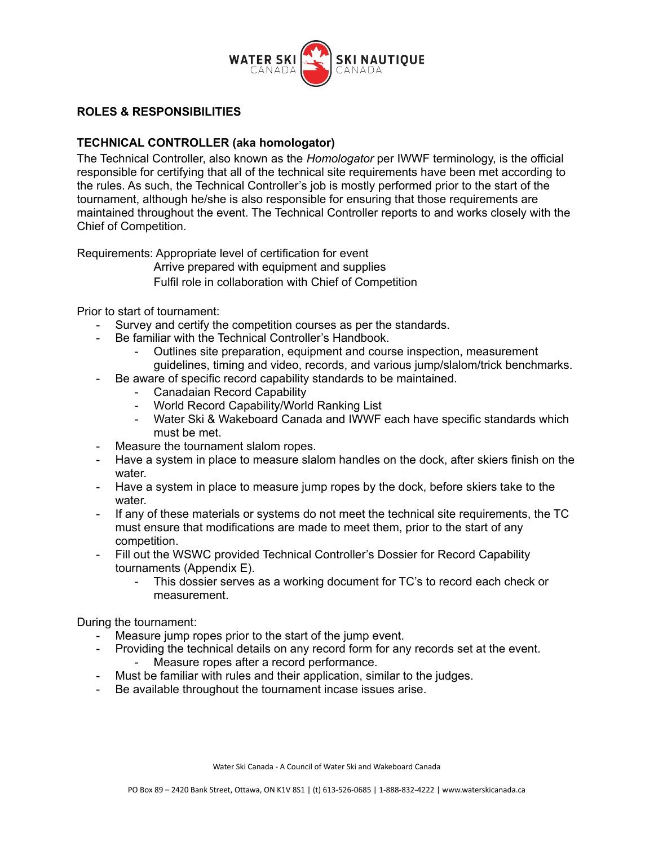

## **ROLES & RESPONSIBILITIES**

## **TECHNICAL CONTROLLER (aka homologator)**

The Technical Controller, also known as the *Homologator* per IWWF terminology, is the official responsible for certifying that all of the technical site requirements have been met according to the rules. As such, the Technical Controller's job is mostly performed prior to the start of the tournament, although he/she is also responsible for ensuring that those requirements are maintained throughout the event. The Technical Controller reports to and works closely with the Chief of Competition.

Requirements: Appropriate level of certification for event

Arrive prepared with equipment and supplies

Fulfil role in collaboration with Chief of Competition

Prior to start of tournament:

- Survey and certify the competition courses as per the standards.
- Be familiar with the Technical Controller's Handbook.
	- Outlines site preparation, equipment and course inspection, measurement guidelines, timing and video, records, and various jump/slalom/trick benchmarks.
- Be aware of specific record capability standards to be maintained.
	- Canadaian Record Capability
	- World Record Capability/World Ranking List
	- Water Ski & Wakeboard Canada and IWWF each have specific standards which must be met.
- Measure the tournament slalom ropes.
- Have a system in place to measure slalom handles on the dock, after skiers finish on the water.
- Have a system in place to measure jump ropes by the dock, before skiers take to the water.
- If any of these materials or systems do not meet the technical site requirements, the TC must ensure that modifications are made to meet them, prior to the start of any competition.
- Fill out the WSWC provided Technical Controller's Dossier for Record Capability tournaments (Appendix E).
	- This dossier serves as a working document for TC's to record each check or measurement.

During the tournament:

- Measure jump ropes prior to the start of the jump event.
- Providing the technical details on any record form for any records set at the event. Measure ropes after a record performance.
- Must be familiar with rules and their application, similar to the judges.
- Be available throughout the tournament incase issues arise.